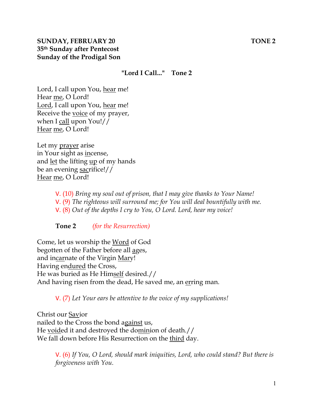### **"Lord I Call..." Tone 2**

Lord, I call upon You, hear me! Hear me, O Lord! Lord, I call upon You, hear me! Receive the voice of my prayer, when I call upon You!// Hear me, O Lord!

Let my prayer arise in Your sight as incense, and <u>let</u> the lifting <u>up</u> of my hands be an evening sacrifice!// Hear me, O Lord!

> V. (10) *Bring my soul out of prison, that I may give thanks to Your Name!*  V. (9) *The righteous will surround me; for You will deal bountifully with me.*  V. (8) *Out of the depths I cry to You, O Lord. Lord, hear my voice!*

**Tone 2** *(for the Resurrection)* 

Come, let us worship the Word of God begotten of the Father before all ages, and incarnate of the Virgin Mary! Having endured the Cross, He was buried as He Himself desired.// And having risen from the dead, He saved me, an erring man.

V. (7) *Let Your ears be attentive to the voice of my supplications!*

Christ our Savior nailed to the Cross the bond against us, He voided it and destroyed the dominion of death.// We fall down before His Resurrection on the third day.

> V. (6) *If You, O Lord, should mark iniquities, Lord, who could stand? But there is forgiveness with You.*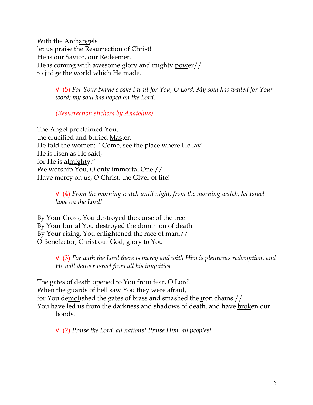With the Archangels let us praise the Resurrection of Christ! He is our Savior, our Redeemer. He is coming with awesome glory and mighty power// to judge the world which He made.

> V. (5) *For Your Name's sake I wait for You, O Lord. My soul has waited for Your word; my soul has hoped on the Lord.*

*(Resurrection stichera by Anatolius)*

The Angel proclaimed You, the crucified and buried Master. He told the women: "Come, see the place where He lay! He is risen as He said, for He is almighty." We worship You, O only immortal One.// Have mercy on us, O Christ, the Giver of life!

> V. (4) *From the morning watch until night, from the morning watch, let Israel hope on the Lord!*

By Your Cross, You destroyed the curse of the tree. By Your burial You destroyed the dominion of death. By Your rising, You enlightened the race of man.// O Benefactor, Christ our God, glory to You!

> V. (3) *For with the Lord there is mercy and with Him is plenteous redemption, and He will deliver Israel from all his iniquities.*

The gates of death opened to You from fear, O Lord. When the guards of hell saw You they were afraid, for You demolished the gates of brass and smashed the iron chains.// You have led us from the darkness and shadows of death, and have broken our bonds.

V. (2) *Praise the Lord, all nations! Praise Him, all peoples!*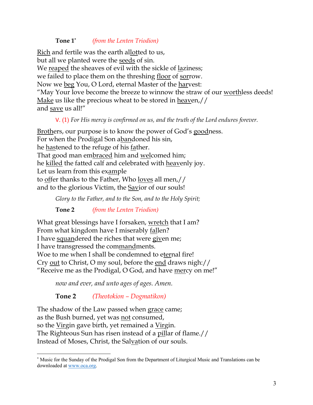#### **Tone 1\*** *(from the Lenten Triodion)*

Rich and fertile was the earth allotted to us, but all we planted were the seeds of sin. We reaped the sheaves of evil with the sickle of laziness; we failed to place them on the threshing floor of sorrow. Now we beg You, O Lord, eternal Master of the harvest: "May Your love become the breeze to winnow the straw of our worthless deeds! <u>Make</u> us like the precious wheat to be stored in <u>heav</u>en,  $\frac{1}{1}$ and save us all!"

### V. (1) *For His mercy is confirmed on us, and the truth of the Lord endures forever.*

Brothers, our purpose is to know the power of God's goodness. For when the Prodigal Son abandoned his sin, he hastened to the refuge of his father. That good man embraced him and welcomed him; he killed the fatted calf and celebrated with heavenly joy. Let us learn from this example to offer thanks to the Father, Who loves all men,// and to the glorious Victim, the Savior of our souls!

*Glory to the Father, and to the Son, and to the Holy Spirit;*

**Tone 2** *(from the Lenten Triodion)*

What great blessings have I forsaken, wretch that I am? From what kingdom have I miserably fallen? I have squandered the riches that were given me; I have transgressed the commandments. Woe to me when I shall be condemned to eternal fire! Cry out to Christ, O my soul, before the end draws nigh:// "Receive me as the Prodigal, O God, and have mercy on me!"

*now and ever, and unto ages of ages. Amen.* 

**Tone 2** *(Theotokion – Dogmatikon)*

The shadow of the Law passed when grace came; as the Bush burned, yet was not consumed, so the Virgin gave birth, yet remained a Virgin. The Righteous Sun has risen instead of a pillar of flame.// Instead of Moses, Christ, the Salvation of our souls.

<sup>\*</sup> Music for the Sunday of the Prodigal Son from the Department of Liturgical Music and Translations can be downloaded at www.oca.org.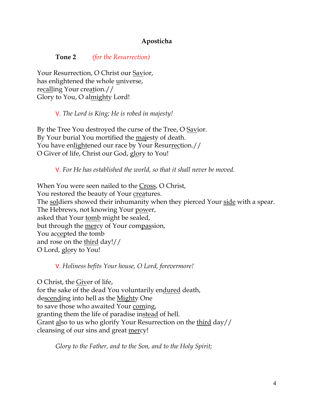# **Aposticha**

**Tone 2** *(for the Resurrection)*

Your Resurrection, O Christ our Savior, has enlightened the whole universe, recalling Your creation.// Glory to You, O almighty Lord!

V. *The Lord is King; He is robed in majesty!* 

By the Tree You destroyed the curse of the Tree, O Savior. By Your burial You mortified the majesty of death. You have enlightened our race by Your Resurrection.// O Giver of life, Christ our God, glory to You!

V. *For He has established the world, so that it shall never be moved.*

When You were seen nailed to the Cross, O Christ, You restored the beauty of Your creatures. The soldiers showed their inhumanity when they pierced Your side with a spear. The Hebrews, not knowing Your power, asked that Your tomb might be sealed, but through the mercy of Your compassion, You accepted the tomb and rose on the third day!// O Lord, glory to You!

V. *Holiness befits Your house, O Lord, forevermore!* 

O Christ, the Giver of life, for the sake of the dead You voluntarily endured death, descending into hell as the Mighty One to save those who awaited Your coming, granting them the life of paradise instead of hell. Grant also to us who glorify Your Resurrection on the third day// cleansing of our sins and great mercy!

*Glory to the Father, and to the Son, and to the Holy Spirit;*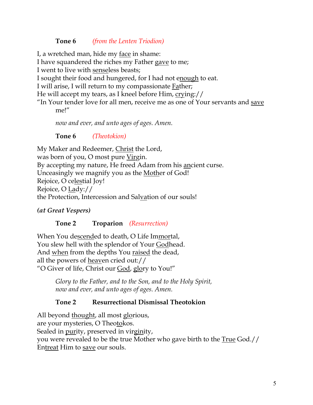## **Tone 6** *(from the Lenten Triodion)*

I, a wretched man, hide my face in shame:

I have squandered the riches my Father gave to me;

I went to live with senseless beasts;

I sought their food and hungered, for I had not enough to eat.

I will arise, I will return to my compassionate Father;

He will accept my tears, as I kneel before Him, crying://

"In Your tender love for all men, receive me as one of Your servants and save me!"

*now and ever, and unto ages of ages. Amen.*

**Tone 6** *(Theotokion)*

My Maker and Redeemer, Christ the Lord, was born of you, O most pure <u>Virgi</u>n. By accepting my nature, He freed Adam from his ancient curse. Unceasingly we magnify you as the Mother of God! Rejoice, O celestial Joy! Rejoice, O Lady:// the Protection, Intercession and Salvation of our souls!

*(at Great Vespers)*

# **Tone 2 Troparion** *(Resurrection)*

When You descended to death, O Life Immortal, You slew hell with the splendor of Your Godhead. And when from the depths You raised the dead, all the powers of heaven cried out:// "O Giver of life, Christ our God, glory to You!"

> *Glory to the Father, and to the Son, and to the Holy Spirit, now and ever, and unto ages of ages. Amen.*

# **Tone 2 Resurrectional Dismissal Theotokion**

All beyond thought, all most glorious, are your mysteries, O Theotokos. Sealed in purity, preserved in virginity, you were revealed to be the true Mother who gave birth to the True God.// Entreat Him to save our souls.